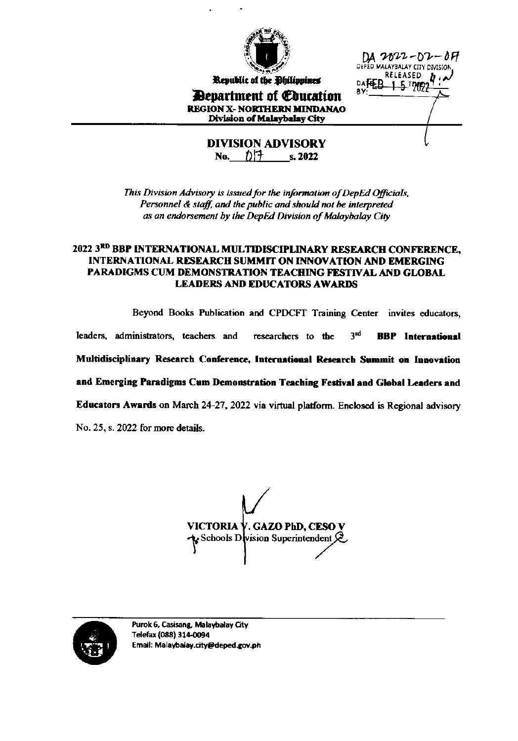

Republic of the Philippines

**Department of Coucation REGION X- NORTHERN MINDANAO** 

DA 2022-D2-DF nie MALAYBALAY CITY DIVISION RELEASED DAFEB 1.5 17992

Division of Malaybalay City **DIVISION ADVISORY** 

No.  $\bigcap$  5. 2022

This Division Advisory is issued for the information of DepEd Officials, Personnel & staff, and the public and should not be interpreted as an endorsement by the DepEd Division of Malaybalay City

#### 2022 3RD BBP INTERNATIONAL MULTIDISCIPLINARY RESEARCH CONFERENCE, **INTERNATIONAL RESEARCH SUMMIT ON INNOVATION AND EMERGING** PARADIGMS CUM DEMONSTRATION TEACHING FESTIVAL AND GLOBAL **LEADERS AND EDUCATORS AWARDS**

Beyond Books Publication and CPDCFT Training Center invites educators,

3rd leaders, administrators, teachers and researchers to the **BBP** International

Multidisciplinary Research Conference, International Research Summit on Innovation

and Emerging Paradigms Cum Demonstration Teaching Festival and Global Leaders and

Educators Awards on March 24-27, 2022 via virtual platform. Enclosed is Regional advisory

No. 25, s. 2022 for more details.

VICTORIA V. GAZO PhD, CESO V  $\mathbf k$  Schools D vision Superintendent  $\mathcal{L}$ 

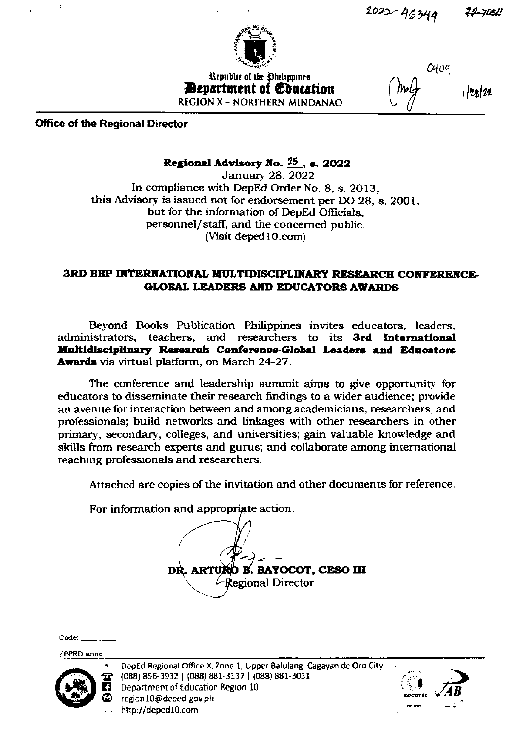

Republic of the Ohilippines *Penartment of Education* **REGION X - NORTHERN MINDANAO**   $O$ <sup>109</sup>

Office of the Regional Director

### Regional Advisory No.  $25$ , s. 2022

January 28, 2022 In compliance with DepEd Order No. 8, s. 2013, this Advisory is issued not for endorsement per DO 28, s. 2001, but for the information of DepEd Officials. personnel/staff, and the concerned public. (Visit deped 10.com)

#### 3RD BBP INTERNATIONAL MULTIDISCIPLINARY RESEARCH CONFERENCE-**GLOBAL LEADERS AND EDUCATORS AWARDS**

Beyond Books Publication Philippines invites educators, leaders, administrators, teachers, and researchers to its 3rd International Multidisciplinary Research Conference-Global Leaders and Educators Awards via virtual platform, on March 24-27.

The conference and leadership summit aims to give opportunity for educators to disseminate their research findings to a wider audience; provide an avenue for interaction between and among academicians, researchers, and professionals; build networks and linkages with other researchers in other primary, secondary, colleges, and universities; gain valuable knowledge and skills from research experts and gurus; and collaborate among international teaching professionals and researchers.

Attached are copies of the invitation and other documents for reference.

For information and appropriate action.

**B. BAYOCOT, CESO III DR. ARTU** tegional Director

 $Code:$ 

/PPRD-anne



DepEd Regional Office X, Zone 1, Upper Balulang, Cagayan de Oro City (088) 856-3932 | (088) 881-3137 | (088) 881-3031 Department of Education Region 10 region10@deped.gov.ph http://deped10.com

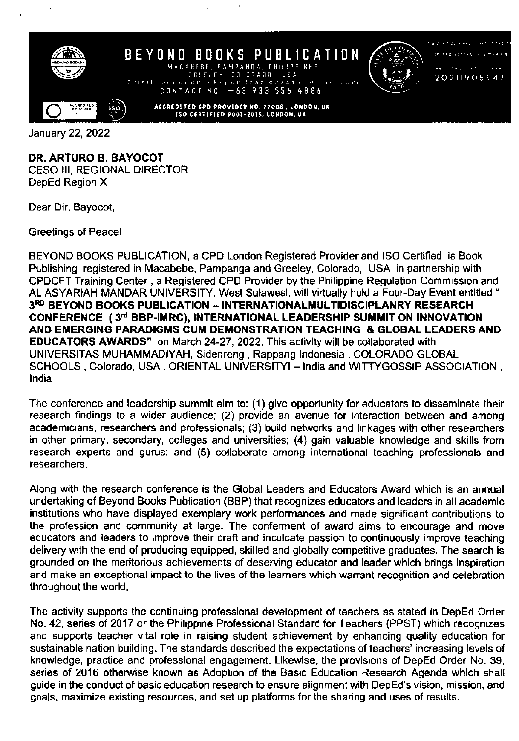

January 22,2022

### DR. ARTURO B. BAYOCOT

CESO III, REGIONAL DIRECTOR DepEd Region X

Dear Dir. Bayocot,

Greetings of Peace!

BEYOND BOOKS PUBLICATION, a CPD London Registered Provider and ISO Certified is Book Publishing registered in Macabebe, Pampanga and Greeley, Colorado, USA in partnership with CPDCFT Training Center , a Regislered CPD Provider by the Philippine Regulation Commission and AL ASYARIAH MANDAR UNIVERSITY, West Sulawesi, will virtually hold a Four-Day Event entitled " 3RD BEYOND BOOKS PUBLICATION - INTERNATIONALMULTIDISCIPLANRY RESEARCH CONFERENCE (3rd BBP-IMRC), INTERNATIONAL LEADERSHIP SUMMIT ON INNOVATION AND EMERGING PARADIGMS CUM DEMONSTRATION TEACHING & GLOBAL LEADERS AND EDUCATORS AWARDS" on March 24-27, 2O22. This actvity will be collaborated with UNIVERSITAS MUHAMMADIYAH, Sidenreng , Rappang lndonesia , COLORADO GLOBAL SCHOOLS, Colorado, USA, ORIENTAL UNIVERSITYI - India and WITTYGOSSIP ASSOCIATION, lndia

The conference and leadership summit aim to: (1) give opportunity for educators to disseminate their research findings to a wider audience; (2) provide an avenue for interaction between and among academicians, researchers and professionals: (3) build networks and linkages with other researchers in other primary, secondary, colleges and universities; (4) gain valuable knowledge and skills from research experts and gurus; and (5) collaborate among intemational teaching professionals and researchers.

Along with the research conference is the Global Leaders and Educators Award which is an annual undertaking of Beyond Books Publication (BBP) that recognizes educators and leaders in all academic institutions who have displayed exemplary work performances and made significant contributions to the profession and community at large. The conferment of award aims to encourage and move educators and leaders to improve their craft and inculcate passion to continuously improve teaching delivery with the end of producing equipped, skilled and globally competitive graduates. The search is grounded on the meritorious achievements of deserving educator and leader which brings inspiration and make an exceptional impact to the lives of the learners which warrant recognition and celebration throughout the world.

The activity supports the continuing professional development of teachers as stated in DepEd Order No. 42, series of 2017 or the Philippine Professional Standard for Teachers (PPST) which recognizes and supports teacher vital role in raising student achievement by enhancing quality education for sustainable nation building. The standards described the expectations of teachers' increasing levels of knowledge, practice and professional engagement. Likewise, the provisions of DepEd Order No. 39, series of 2016 otherwise known as Adoption of the Basic Education Research Agenda which shall guide in the conduct of basic education research lo ensure alignment with DepEd's vision, mission, and goals, maximize existing resources, and set up platforms for the sharing and uses of results.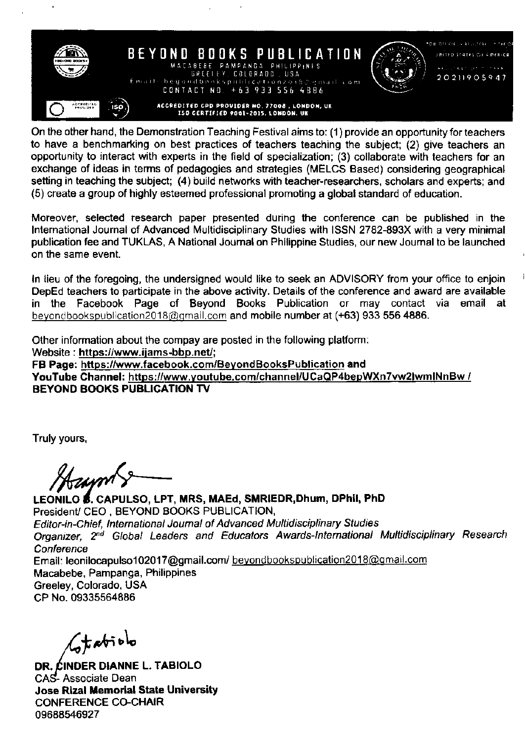

On the other hand, the Demonstratjon Teaching Festival aims to: (1) provide an opportunity for teachers to have a benchmarking on best practices of teachers teaching the subject; (2) give teachers an opportunity to interact with experts in the field of specialization; (3) collaborate with teachers for an exchange ot ideas in terms of pedagogies and strategies (MELCS Based) considering geographical setting in teaching the subject; (4) build networks with teacher-researchers, scholars and experts; and (5) create a group of highly esteemed professional promoting a global standard of education.

Moreover, selected research paper presented during the conference can be published in the International Journal of Advanced Multidisciplinary Studies with ISSN 2782-893X with a very minimal publication fee and TUKLAS, A National Joumal on Philippine Studies, our new Joumal to be launched on the same event.

In lieu of the foregoing, the undersigned would like to seek an ADVISORY from your office to enjoin<br>DepEd teachers to participate in the above activity. Details of the conference and award are available in the Facebook Page of Beyond Books Publication or may contact via email at beyond bookspublication 2018@gmail.com and mobile number at (+63) 933 556 4886.

Other information about the compay are posted in the following platform: Website : https://www.ijams-bbp.net/; FB Page: https://www.facebook.com/BeyondBooksPublication and YouTube Channel: https://www.voutube. com/channel/UCaQP4bepWXnTvw2lwmlNnBw / BEYOND BOOKS PUBLICATION Tv

Truly yours,

LEONILO **5.** CAPULSO, LPT, MRS, MAEd, SMRIEDR, Dhum, DPhil, PhD President/ CEO , BEYOND BOOKS PUBLICATION, Editor-in-Chief, International Journal of Advanced Multidisciplinary Studies Organizer, 2<sup>nd</sup> Global Leaders and Educators Awards-International Multidisciplinary Research **Conference** Email: leonilocapulso102017@gmail.com/ beyondbookspublication2018@gmail.com Macabebe, Pampanga, Philippines Greeley, Colorado, USA CP No. 09335564886

 $C$ tabiolo

DR. CINDER DIANNE L. TABIOLO CAS-Associate Dean Jose Rizal Memorial State University CONFERENCE CO-CHAIR 09688546927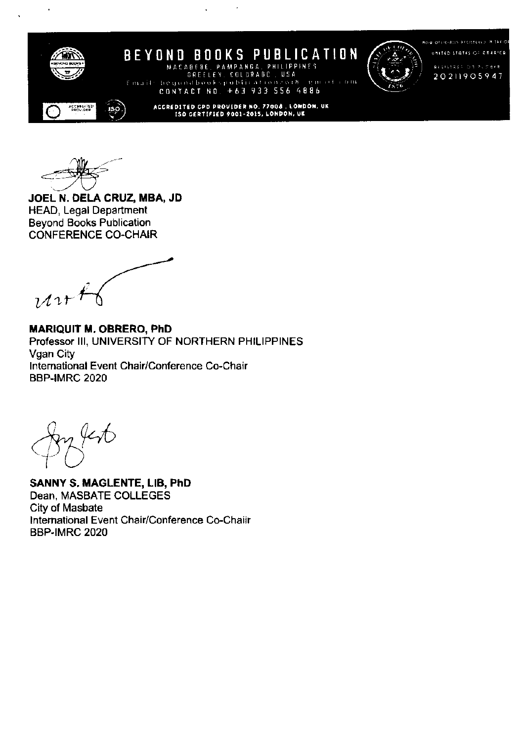



**ROW OFFICIALLY RECISTERED. B THE Q UNITED STATES OF REERICA** 

20211905947

ACCREDITED CPD PROVIDER NO. 77008, LONDON, UK<br>ISO CERTIFIED 9001-2015, LONDON, UK

CONTACT NO. +63 933 556 4886

MACABEBE, PAMPANGA, PHILIPPINES GREELEY, COLDRADO, USA

JOEL N. DELA CRUZ, MBA, JD **HEAD, Legal Department Beyond Books Publication CONFERENCE CO-CHAIR** 

 $u^{\alpha+1}$ 

**MARIQUIT M. OBRERO, PhD** Professor III, UNIVERSITY OF NORTHERN PHILIPPINES Vgan City International Event Chair/Conference Co-Chair **BBP-IMRC 2020** 

**SANNY S. MAGLENTE, LIB, PhD** Dean, MASBATE COLLEGES City of Masbate International Event Chair/Conference Co-Chaiir **BBP-IMRC 2020**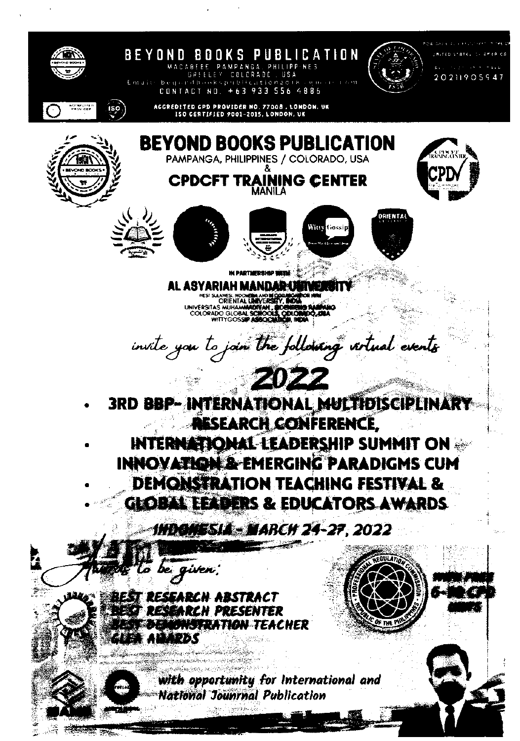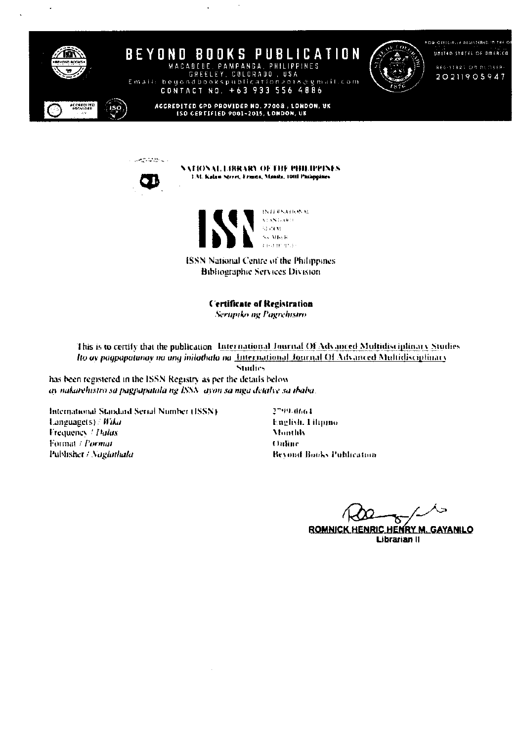

**BEYOND BOOKS PUBLICATION** MACABEBE, PAMPANGA, PHILIPPINES<br>GREELEY, COLORADO, USA

**ROB OFFICIALLY REGISTERED IN THE OF** UNITED STATES OF AMERICA

> REGISTRATION BUDBER-20211905947

ACCREDITED GPD PROVIDER NO. 77008 , LONDON, UK<br>ISO CERTIFIED 9001-2015, LONDON, UK

Email: beyondbookspublication2018@gmail.com CONTACT NO. +63 933 556 4886



 $\mathcal{P}(\mathcal{A}^{\mathcal{A}}_{\infty},\mathcal{A}^{\mathcal{A}}_{\infty},\mathcal{A}^{\mathcal{A}}_{\infty})$ 

NATIONAL LIBRARY OF THE PHILIPPINES 1.M. Kalan Street, Fruits, Maniki, 1000 Philippines



**ISSN National Centre of the Philippines Bibliographic Services Division** 

**Certificate of Registration** 

Serupiko ng Pagrehistro

This is to certify that the publication International Journal Of Advanced Multidisciplinary Studies Ito ay pagpapatunay no ang inilathata na International Journal Of Advanced Multidisciplinary

**Studies** 

has been registered in the ISSN Registry as per the details below ay nakarehistro sa pagpapatala ng ISSN-ayon sa mga detalye sa ibaba.

International Standard Serial Number (ISSN). Languagets) / Wika Frequency / Dalax Format / Pormat Publisher / Naglathala

2799-0664 English, I ilipino **Monthly** Online **Bevond Books Publication** 

**ROMNICK HENRIC HENRY M. GAYANILO** 

Librarian II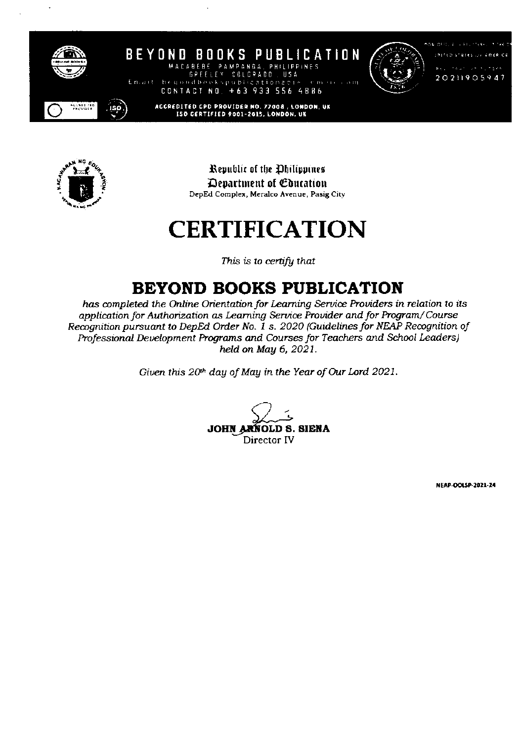

BEYOND BOOKS PUBLICATION MACABEBE PAMPANGA **IDDINES** COLCRADO US A



 $\epsilon$  out

4886

KOR OFFICE IN FIGHTING Shirted stares are amended **CALACTERS** 20211905947

CONTACT NO. +63 933 556

begondbookep

ACCREDITED CPD PROVIDER NO. 77008 , LONDON, UK<br>ISO CERTIFIED 9001-2015, LONDON, UK



Republic of the Ohilippines Department of Education DepEd Complex, Meralco Avenue, Pasig City

## **CERTIFICATION**

This is to certify that

## **BEYOND BOOKS PUBLICATION**

has completed the Online Orientation for Learning Service Providers in relation to its application for Authorization as Learning Service Provider and for Program/Course Recognition pursuant to DepEd Order No. 1 s. 2020 (Guidelines for NEAP Recognition of Professional Development Programs and Courses for Teachers and School Leaders) held on May 6, 2021.

Given this 20th day of May in the Year of Our Lord 2021.

**JOHN A** OLD S. SIENA Director IV

NEAP-OOLSP-2021-24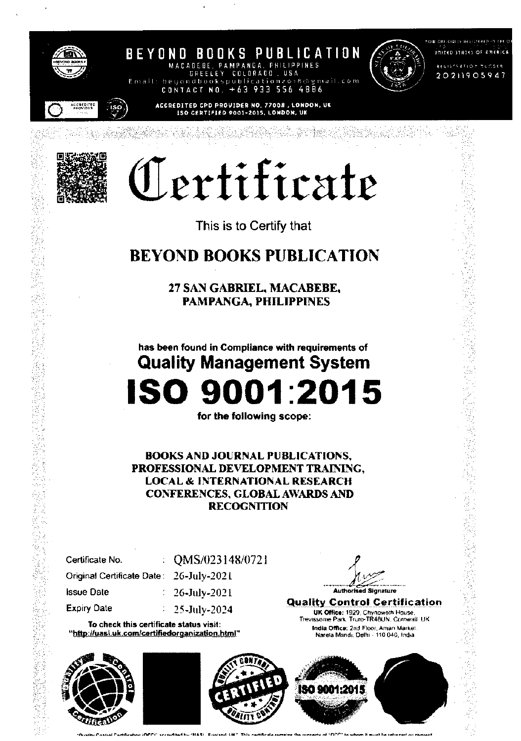

BEYOND BOOKS PUBLICATION MACABEBE. PAMPANGA **PHILIPPINES** COLORADO USA g mail.com Email: beu 4886 CONTACT  $+63$ 933 556 N N



OU OFFICIALLY RESERVED IN THE O UNITED STATES OF AMERICA

> **ACCISTS ATION NUCLES** 20211905947

# Certificate

ACCREDITED CPD PROVIDER NO. 77008, LONDON, UK<br>[SO CERTIFIED 9001-2015, LONDON, UK

This is to Certify that

### **BEYOND BOOKS PUBLICATION**

27 SAN GABRIEL, MACABEBE, **PAMPANGA, PHILIPPINES** 

has been found in Compliance with requirements of **Quality Management System** 

# ISO 9001:2015

for the following scope:

**BOOKS AND JOURNAL PUBLICATIONS,** PROFESSIONAL DEVELOPMENT TRAINING, **LOCAL & INTERNATIONAL RESEARCH CONFERENCES, GLOBAL AWARDS AND RECOGNITION** 

| Certificate No.                         | $:$ QMS/023148/0721       |
|-----------------------------------------|---------------------------|
| Original Certificate Date: 26-July-2021 |                           |
| <b>Issue Date</b>                       | $\approx 26$ -July-2021   |
| <b>Expiry Date</b>                      | $\frac{1}{25}$ -July-2024 |

To check this certificate status visit: "http://uasi.uk.com/certifiedorganization.html"





Authori Signature

**Quality Control Certification** UK Office: 1929, Chynoweth House.<br>Trevissome Park, Truro-TR48UN, Cornwall UK India Office: 2nd Floor, Aman Market. Narela Mandi, Delhi - 110 040, India

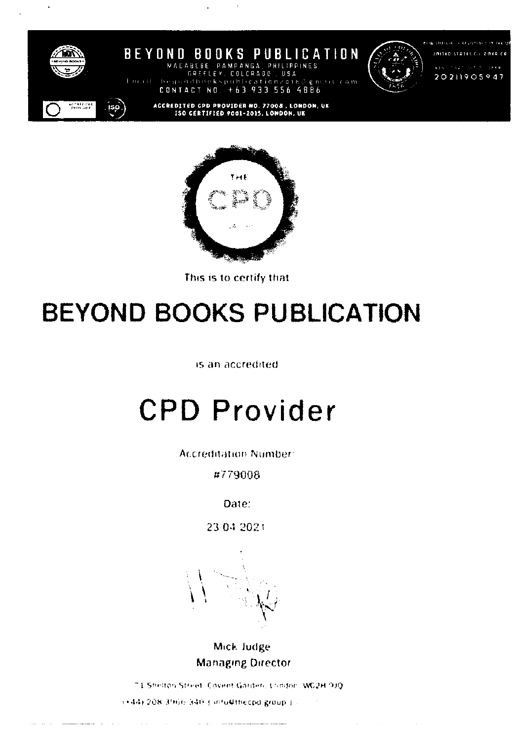

**BEYOND BOOKS** PUBLICATION PAMPANGA it com 4886 CONTACT  $N<sub>0</sub>$  $+63933556$ 



 $\mathcal{O}(\mathcal{A})$  and  $\mathcal{O}(\mathcal{A})$  and  $\mathcal{O}(\mathcal{A})$  and  $\mathcal{O}(\mathcal{A})$ 

URITED STATES CF RINER CA **Haar with**  $\pm$  3.4  $\mu$ 

20211905947

ACCREDITED CPD PROVIDER NO. 77008 , LONDON, UK<br>ISO CERTIFIED 9001-2015, LONDON, UK



This is to certify that

## **BEYOND BOOKS PUBLICATION**

is an accredited

# **CPD Provider**

**Accreditation Number:** 

#779008

Date:

23:04.2021

Mick Judge **Managing Director** 

71 Shelton Street, Covent Garden, Condon, WD2H 9J0 (+44) 208 3966 340 (infu@thecpd.group.) ...

وتعصصها المتعاونة

المراجا والانتقاض ويتستطيب

 $\mathcal{L}^{\mathcal{L}}$  and  $\mathcal{L}^{\mathcal{L}}$  and  $\mathcal{L}^{\mathcal{L}}$ 

 $\sim 100$